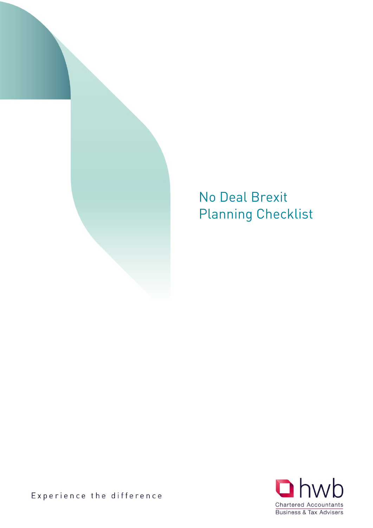

## Planning Charl Planning Checklist



Experience the difference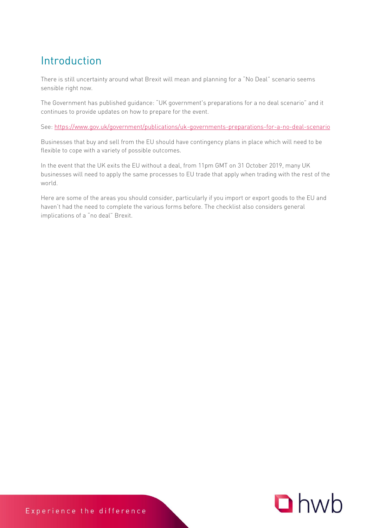## Introduction

There is still uncertainty around what Brexit will mean and planning for a "No Deal" scenario seems sensible right now.

The Government has published guidance: "UK government's preparations for a no deal scenario" and it continues to provide updates on how to prepare for the event.

See:<https://www.gov.uk/government/publications/uk-governments-preparations-for-a-no-deal-scenario>

Businesses that buy and sell from the EU should have contingency plans in place which will need to be flexible to cope with a variety of possible outcomes.

In the event that the UK exits the EU without a deal, from 11pm GMT on 31 October 2019, many UK businesses will need to apply the same processes to EU trade that apply when trading with the rest of the world.

Here are some of the areas you should consider, particularly if you import or export goods to the EU and haven't had the need to complete the various forms before. The checklist also considers general implications of a "no deal" Brexit.

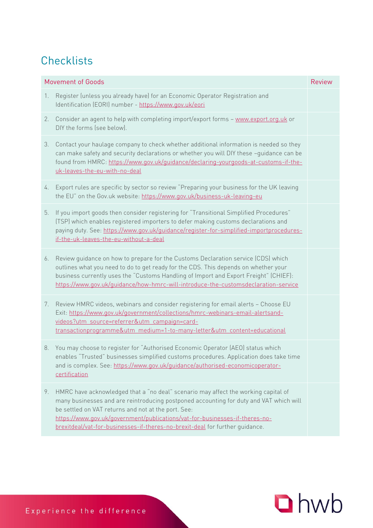| <b>Movement of Goods</b> |                                                                                                                                                                                                                                                                                                                                                                                                    | <b>Review</b> |
|--------------------------|----------------------------------------------------------------------------------------------------------------------------------------------------------------------------------------------------------------------------------------------------------------------------------------------------------------------------------------------------------------------------------------------------|---------------|
| 1.                       | Register (unless you already have) for an Economic Operator Registration and<br>Identification (EORI) number - https://www.gov.uk/eori                                                                                                                                                                                                                                                             |               |
| 2.                       | Consider an agent to help with completing import/export forms - www.export.org.uk or<br>DIY the forms (see below).                                                                                                                                                                                                                                                                                 |               |
| 3.                       | Contact your haulage company to check whether additional information is needed so they<br>can make safety and security declarations or whether you will DIY these -guidance can be<br>found from HMRC: https://www.gov.uk/guidance/declaring-yourgoods-at-customs-if-the-<br>uk-leaves-the-eu-with-no-deal                                                                                         |               |
| 4.                       | Export rules are specific by sector so review "Preparing your business for the UK leaving<br>the EU" on the Gov.uk website: https://www.gov.uk/business-uk-leaving-eu                                                                                                                                                                                                                              |               |
| 5.                       | If you import goods then consider registering for "Transitional Simplified Procedures"<br>(TSP) which enables registered importers to defer making customs declarations and<br>paying duty. See: https://www.gov.uk/guidance/register-for-simplified-importprocedures-<br>if-the-uk-leaves-the-eu-without-a-deal                                                                                   |               |
| 6.                       | Review quidance on how to prepare for the Customs Declaration service (CDS) which<br>outlines what you need to do to get ready for the CDS. This depends on whether your<br>business currently uses the "Customs Handling of Import and Export Freight" (CHIEF):<br>https://www.gov.uk/guidance/how-hmrc-will-introduce-the-customsdeclaration-service                                             |               |
| 7.                       | Review HMRC videos, webinars and consider registering for email alerts - Choose EU<br>Exit: https://www.gov.uk/government/collections/hmrc-webinars-email-alertsand-<br>videos?utm_source=referrer&utm_campaign=card-<br>transactionprogramme&utm_medium=1-to-many-letter&utm_content=educational                                                                                                  |               |
|                          | 8. You may choose to register for "Authorised Economic Operator (AEO) status which<br>enables "Trusted" businesses simplified customs procedures. Application does take time<br>and is complex. See: https://www.gov.uk/guidance/authorised-economicoperator-<br>certification                                                                                                                     |               |
| 9.                       | HMRC have acknowledged that a "no deal" scenario may affect the working capital of<br>many businesses and are reintroducing postponed accounting for duty and VAT which will<br>be settled on VAT returns and not at the port. See:<br>https://www.gov.uk/government/publications/vat-for-businesses-if-theres-no-<br>brexitdeal/vat-for-businesses-if-theres-no-brexit-deal for further guidance. |               |

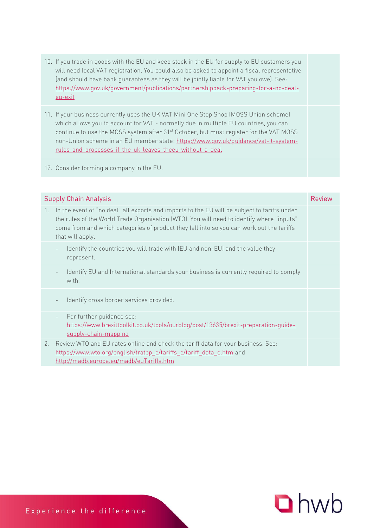- 10. If you trade in goods with the EU and keep stock in the EU for supply to EU customers you will need local VAT registration. You could also be asked to appoint a fiscal representative (and should have bank guarantees as they will be jointly liable for VAT you owe). See: [https://www.gov.uk/government/publications/partnershippack-preparing-for-a-no-deal](https://www.gov.uk/government/publications/partnershippack-preparing-for-a-no-deal-eu-exit)[eu-exit](https://www.gov.uk/government/publications/partnershippack-preparing-for-a-no-deal-eu-exit)
- 11. If your business currently uses the UK VAT Mini One Stop Shop (MOSS Union scheme) which allows you to account for VAT - normally due in multiple EU countries, you can continue to use the MOSS system after 31<sup>st</sup> October, but must register for the VAT MOSS non-Union scheme in an EU member state: [https://www.gov.uk/guidance/vat-it-system](https://www.gov.uk/guidance/vat-it-system-rules-and-processes-if-the-uk-leaves-theeu-without-a-deal)[rules-and-processes-if-the-uk-leaves-theeu-without-a-deal](https://www.gov.uk/guidance/vat-it-system-rules-and-processes-if-the-uk-leaves-theeu-without-a-deal)

12. Consider forming a company in the EU.

| <b>Supply Chain Analysis</b> |                                                                                                                                                                                                                                                                                                           |  |
|------------------------------|-----------------------------------------------------------------------------------------------------------------------------------------------------------------------------------------------------------------------------------------------------------------------------------------------------------|--|
| $1_{\cdot}$                  | In the event of "no deal" all exports and imports to the EU will be subject to tariffs under<br>the rules of the World Trade Organisation (WTO). You will need to identify where "inputs"<br>come from and which categories of product they fall into so you can work out the tariffs<br>that will apply. |  |
|                              | Identify the countries you will trade with (EU and non-EU) and the value they<br>represent.                                                                                                                                                                                                               |  |
|                              | Identify EU and International standards your business is currently required to comply<br>with.                                                                                                                                                                                                            |  |
|                              | Identify cross border services provided.                                                                                                                                                                                                                                                                  |  |
|                              | For further guidance see:<br>$\overline{\phantom{a}}$<br>https://www.brexittoolkit.co.uk/tools/ourblog/post/13635/brexit-preparation-guide-<br>supply-chain-mapping                                                                                                                                       |  |
| 2.                           | Review WTO and EU rates online and check the tariff data for your business. See:<br>https://www.wto.org/english/tratop_e/tariffs_e/tariff_data_e.htm and<br>http://madb.europa.eu/madb/euTariffs.htm                                                                                                      |  |

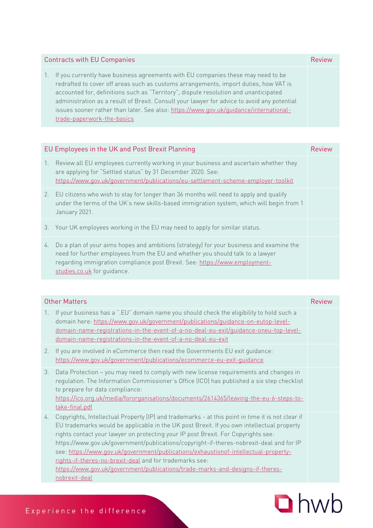| <b>Contracts with EU Companies</b>                                                                                                                                                                                                                                                                                                                                                                                                                                                              |  |
|-------------------------------------------------------------------------------------------------------------------------------------------------------------------------------------------------------------------------------------------------------------------------------------------------------------------------------------------------------------------------------------------------------------------------------------------------------------------------------------------------|--|
| If you currently have business agreements with EU companies these may need to be<br>$\pm$<br>redrafted to cover off areas such as customs arrangements, import duties, how VAT is<br>accounted for, definitions such as "Territory", dispute resolution and unanticipated<br>administration as a result of Brexit. Consult your lawyer for advice to avoid any potential<br>issues sooner rather than later. See also: https://www.gov.uk/guidance/international-<br>trade-paperwork-the-basics |  |

| EU Employees in the UK and Post Brexit Planning |                                                                                                                                                                                                                                                                                        | <b>Review</b> |
|-------------------------------------------------|----------------------------------------------------------------------------------------------------------------------------------------------------------------------------------------------------------------------------------------------------------------------------------------|---------------|
| $\mathbb{1}$ .                                  | Review all EU employees currently working in your business and ascertain whether they<br>are applying for "Settled status" by 31 December 2020. See:<br>https://www.gov.uk/government/publications/eu-settlement-scheme-employer-toolkit                                               |               |
|                                                 | 2. EU citizens who wish to stay for longer than 36 months will need to apply and qualify<br>under the terms of the UK's new skills-based immigration system, which will begin from 1<br>January 2021.                                                                                  |               |
| 3.                                              | Your UK employees working in the EU may need to apply for similar status.                                                                                                                                                                                                              |               |
| 4.                                              | Do a plan of your aims hopes and ambitions (strategy) for your business and examine the<br>need for further employees from the EU and whether you should talk to a lawyer<br>regarding immigration compliance post Brexit. See: https://www.employment-<br>studies.co.uk for quidance. |               |

| <b>Other Matters</b> |                                                                                                                                                                                                                                                                                                                                                                                                                                                                                                                                                                                                                                   | Review |
|----------------------|-----------------------------------------------------------------------------------------------------------------------------------------------------------------------------------------------------------------------------------------------------------------------------------------------------------------------------------------------------------------------------------------------------------------------------------------------------------------------------------------------------------------------------------------------------------------------------------------------------------------------------------|--------|
| 1.                   | If your business has a ".EU" domain name you should check the eligibility to hold such a<br>domain here: https://www.gov.uk/government/publications/guidance-on-eutop-level-<br>domain-name-registrations-in-the-event-of-a-no-deal-eu-exit/guidance-oneu-top-level-<br>domain-name-registrations-in-the-event-of-a-no-deal-eu-exit                                                                                                                                                                                                                                                                                               |        |
| 2.                   | If you are involved in eCommerce then read the Governments EU exit quidance:<br>https://www.gov.uk/government/publications/ecommerce-eu-exit-guidance                                                                                                                                                                                                                                                                                                                                                                                                                                                                             |        |
| 3.                   | Data Protection - you may need to comply with new license requirements and changes in<br>regulation. The Information Commissioner's Office (ICO) has published a six step checklist<br>to prepare for data compliance:<br>https://ico.org.uk/media/fororganisations/documents/2614365/leaving-the-eu-6-steps-to-<br>take-final.pdf                                                                                                                                                                                                                                                                                                |        |
| 4.                   | Copyrights, Intellectual Property (IP) and trademarks - at this point in time it is not clear if<br>EU trademarks would be applicable in the UK post Brexit. If you own intellectual property<br>rights contact your lawyer on protecting your IP post Brexit. For Copyrights see:<br>https://www.gov.uk/government/publications/copyright-if-theres-nobrexit-deal and for IP<br>see: https://www.gov.uk/government/publications/exhaustionof-intellectual-property-<br>rights-if-theres-no-brexit-deal and for trademarks see:<br>https://www.gov.uk/government/publications/trade-marks-and-designs-if-theres-<br>nobrexit-deal |        |